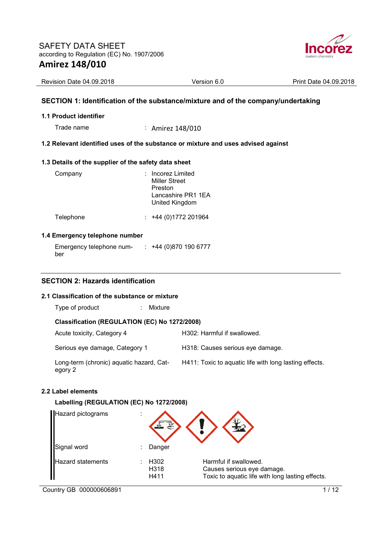

| Revision Date 04.09.2018 | Version 6.0 | 04.09.2018<br><b>Print Date</b> |
|--------------------------|-------------|---------------------------------|
|                          |             |                                 |

## **SECTION 1: Identification of the substance/mixture and of the company/undertaking**

### **1.1 Product identifier**

Trade name : Amirez 148/010

### **1.2 Relevant identified uses of the substance or mixture and uses advised against**

### **1.3 Details of the supplier of the safety data sheet**

| Company   | : Incorez Limited<br><b>Miller Street</b><br>Preston<br>Lancashire PR1 1EA<br>United Kingdom |
|-----------|----------------------------------------------------------------------------------------------|
| Telephone | $: +44(0)1772201964$                                                                         |

### **1.4 Emergency telephone number**

Emergency telephone number : +44 (0)870 190 6777

# **SECTION 2: Hazards identification**

### **2.1 Classification of the substance or mixture**

Type of product : Mixture

### **Classification (REGULATION (EC) No 1272/2008)**

| Acute toxicity, Category 4                          | H302: Harmful if swallowed.                            |
|-----------------------------------------------------|--------------------------------------------------------|
| Serious eye damage, Category 1                      | H318: Causes serious eye damage.                       |
| Long-term (chronic) aquatic hazard, Cat-<br>egory 2 | H411: Toxic to aquatic life with long lasting effects. |

#### **2.2 Label elements**

### **Labelling (REGULATION (EC) No 1272/2008)**

|    | <b>Hazard pictograms</b> | ٠<br>۰ |                      |                                                                                                         |
|----|--------------------------|--------|----------------------|---------------------------------------------------------------------------------------------------------|
|    | Signal word              | ٠      | Danger               |                                                                                                         |
| II | <b>Hazard statements</b> |        | H302<br>H318<br>H411 | Harmful if swallowed.<br>Causes serious eye damage.<br>Toxic to aquatic life with long lasting effects. |

Country GB 000000606891 1/12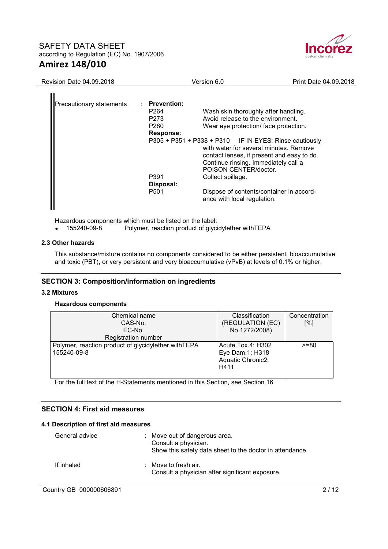

| <b>Revision Date 04.09.2018</b> |                                                                                                                     | Version 6.0                                                                                                                                                                                                                                                                                                                                                                                                                           | Print Date 04.09.2018 |
|---------------------------------|---------------------------------------------------------------------------------------------------------------------|---------------------------------------------------------------------------------------------------------------------------------------------------------------------------------------------------------------------------------------------------------------------------------------------------------------------------------------------------------------------------------------------------------------------------------------|-----------------------|
| <b>Precautionary statements</b> | <b>Prevention:</b><br>P <sub>264</sub><br>P273<br>P280<br><b>Response:</b><br>P391<br>Disposal:<br>P <sub>501</sub> | Wash skin thoroughly after handling.<br>Avoid release to the environment.<br>Wear eye protection/ face protection.<br>P305 + P351 + P338 + P310 IF IN EYES: Rinse cautiously<br>with water for several minutes. Remove<br>contact lenses, if present and easy to do.<br>Continue rinsing. Immediately call a<br>POISON CENTER/doctor.<br>Collect spillage.<br>Dispose of contents/container in accord-<br>ance with local regulation. |                       |

Hazardous components which must be listed on the label:<br>• 155240-09-8 Polymer. reaction product of give

Polymer, reaction product of glycidylether withTEPA

### **2.3 Other hazards**

This substance/mixture contains no components considered to be either persistent, bioaccumulative and toxic (PBT), or very persistent and very bioaccumulative (vPvB) at levels of 0.1% or higher.

## **SECTION 3: Composition/information on ingredients**

#### **3.2 Mixtures**

#### **Hazardous components**

| Chemical name<br>CAS-No.<br>EC-No.                                 | Classification<br>(REGULATION (EC)<br>No 1272/2008)               | Concentration<br>[%] |
|--------------------------------------------------------------------|-------------------------------------------------------------------|----------------------|
| Registration number                                                |                                                                   |                      |
| Polymer, reaction product of glycidylether withTEPA<br>155240-09-8 | Acute Tox.4; H302<br>Eye Dam.1; H318<br>Aquatic Chronic2;<br>H411 | $>= 80$              |

For the full text of the H-Statements mentioned in this Section, see Section 16.

### **SECTION 4: First aid measures**

### **4.1 Description of first aid measures**

| General advice | : Move out of dangerous area.<br>Consult a physician.<br>Show this safety data sheet to the doctor in attendance. |
|----------------|-------------------------------------------------------------------------------------------------------------------|
| If inhaled     | $\therefore$ Move to fresh air.<br>Consult a physician after significant exposure.                                |

# Country GB 000000606891 2/12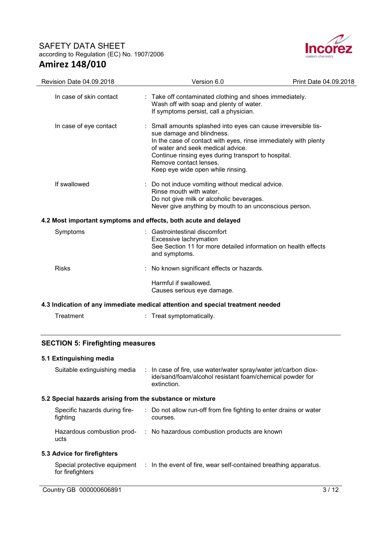

| <b>Revision Date 04.09.2018</b>                                                | Version 6.0                                                                                                                                                                                                                                                                                                             | Print Date 04.09.2018 |  |  |  |
|--------------------------------------------------------------------------------|-------------------------------------------------------------------------------------------------------------------------------------------------------------------------------------------------------------------------------------------------------------------------------------------------------------------------|-----------------------|--|--|--|
| In case of skin contact                                                        | Take off contaminated clothing and shoes immediately.<br>Wash off with soap and plenty of water.<br>If symptoms persist, call a physician.                                                                                                                                                                              |                       |  |  |  |
| In case of eye contact                                                         | Small amounts splashed into eyes can cause irreversible tis-<br>sue damage and blindness.<br>In the case of contact with eyes, rinse immediately with plenty<br>of water and seek medical advice.<br>Continue rinsing eyes during transport to hospital.<br>Remove contact lenses.<br>Keep eye wide open while rinsing. |                       |  |  |  |
| If swallowed                                                                   | Do not induce vomiting without medical advice.<br>Rinse mouth with water.<br>Do not give milk or alcoholic beverages.<br>Never give anything by mouth to an unconscious person.                                                                                                                                         |                       |  |  |  |
| 4.2 Most important symptoms and effects, both acute and delayed                |                                                                                                                                                                                                                                                                                                                         |                       |  |  |  |
| Symptoms                                                                       | Gastrointestinal discomfort<br>Excessive lachrymation<br>See Section 11 for more detailed information on health effects<br>and symptoms.                                                                                                                                                                                |                       |  |  |  |
| <b>Risks</b>                                                                   | No known significant effects or hazards.                                                                                                                                                                                                                                                                                |                       |  |  |  |
|                                                                                | Harmful if swallowed.<br>Causes serious eye damage.                                                                                                                                                                                                                                                                     |                       |  |  |  |
| 4.3 Indication of any immediate medical attention and special treatment needed |                                                                                                                                                                                                                                                                                                                         |                       |  |  |  |
| Treatment                                                                      | : Treat symptomatically.                                                                                                                                                                                                                                                                                                |                       |  |  |  |
|                                                                                |                                                                                                                                                                                                                                                                                                                         |                       |  |  |  |

# **SECTION 5: Firefighting measures**

# **5.1 Extinguishing media**

| Suitable extinguishing media                              | : In case of fire, use water/water spray/water jet/carbon diox-<br>ide/sand/foam/alcohol resistant foam/chemical powder for<br>extinction. |
|-----------------------------------------------------------|--------------------------------------------------------------------------------------------------------------------------------------------|
| 5.2 Special hazards arising from the substance or mixture |                                                                                                                                            |
| Specific hazards during fire-<br>fighting                 | : Do not allow run-off from fire fighting to enter drains or water<br>courses.                                                             |
| Hazardous combustion prod-<br>ucts                        | : No hazardous combustion products are known                                                                                               |

# **5.3 Advice for firefighters**

Special protective equipment : In the event of fire, wear self-contained breathing apparatus. for firefighters

Country GB 000000606891 3/12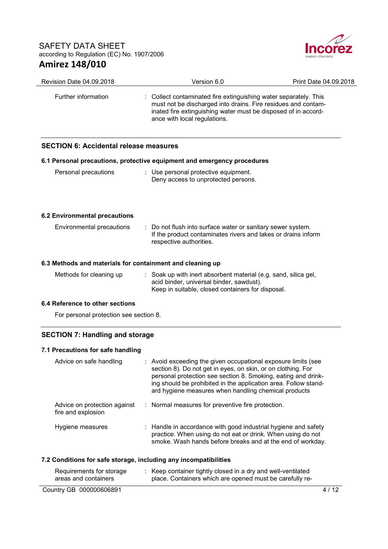

| Revision Date 04.09.2018                                                | Version 6.0                                                                                                                                                      | Print Date 04.09.2018                                                                                                                                                                                                                                             |
|-------------------------------------------------------------------------|------------------------------------------------------------------------------------------------------------------------------------------------------------------|-------------------------------------------------------------------------------------------------------------------------------------------------------------------------------------------------------------------------------------------------------------------|
| Further information                                                     | ance with local regulations.                                                                                                                                     | : Collect contaminated fire extinguishing water separately. This<br>must not be discharged into drains. Fire residues and contam-<br>inated fire extinguishing water must be disposed of in accord-                                                               |
| <b>SECTION 6: Accidental release measures</b>                           |                                                                                                                                                                  |                                                                                                                                                                                                                                                                   |
| 6.1 Personal precautions, protective equipment and emergency procedures |                                                                                                                                                                  |                                                                                                                                                                                                                                                                   |
| Personal precautions                                                    | : Use personal protective equipment.<br>Deny access to unprotected persons.                                                                                      |                                                                                                                                                                                                                                                                   |
| <b>6.2 Environmental precautions</b>                                    |                                                                                                                                                                  |                                                                                                                                                                                                                                                                   |
| Environmental precautions                                               | : Do not flush into surface water or sanitary sewer system.<br>respective authorities.                                                                           | If the product contaminates rivers and lakes or drains inform                                                                                                                                                                                                     |
| 6.3 Methods and materials for containment and cleaning up               |                                                                                                                                                                  |                                                                                                                                                                                                                                                                   |
| Methods for cleaning up                                                 | : Soak up with inert absorbent material (e.g. sand, silica gel,<br>acid binder, universal binder, sawdust).<br>Keep in suitable, closed containers for disposal. |                                                                                                                                                                                                                                                                   |
| 6.4 Reference to other sections                                         |                                                                                                                                                                  |                                                                                                                                                                                                                                                                   |
| For personal protection see section 8.                                  |                                                                                                                                                                  |                                                                                                                                                                                                                                                                   |
| <b>SECTION 7: Handling and storage</b>                                  |                                                                                                                                                                  |                                                                                                                                                                                                                                                                   |
| 7.1 Precautions for safe handling                                       |                                                                                                                                                                  |                                                                                                                                                                                                                                                                   |
| Advice on safe handling                                                 | ard hygiene measures when handling chemical products                                                                                                             | : Avoid exceeding the given occupational exposure limits (see<br>section 8). Do not get in eyes, on skin, or on clothing. For<br>personal protection see section 8. Smoking, eating and drink-<br>ing should be prohibited in the application area. Follow stand- |
| Advice on protection against                                            | Normal measures for preventive fire protection.                                                                                                                  |                                                                                                                                                                                                                                                                   |

| : Handle in accordance with good industrial hygiene and safety |
|----------------------------------------------------------------|
| practice. When using do not eat or drink. When using do not    |
| smoke. Wash hands before breaks and at the end of workday.     |
|                                                                |

### **7.2 Conditions for safe storage, including any incompatibilities**

| Requirements for storage<br>areas and containers | : Keep container tightly closed in a dry and well-ventilated<br>place. Containers which are opened must be carefully re- |      |
|--------------------------------------------------|--------------------------------------------------------------------------------------------------------------------------|------|
| Country GB 000000606891                          |                                                                                                                          | 4/12 |

fire and explosion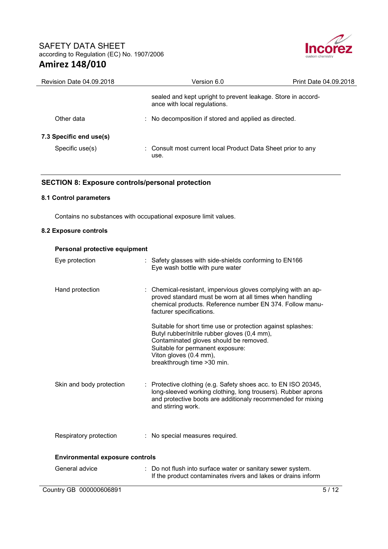

| Revision Date 04.09.2018                   | Version 6.0                                                                                  | Print Date 04.09.2018 |
|--------------------------------------------|----------------------------------------------------------------------------------------------|-----------------------|
|                                            | sealed and kept upright to prevent leakage. Store in accord-<br>ance with local regulations. |                       |
| Other data                                 | : No decomposition if stored and applied as directed.                                        |                       |
| 7.3 Specific end use(s)<br>Specific use(s) | : Consult most current local Product Data Sheet prior to any<br>use.                         |                       |

## **SECTION 8: Exposure controls/personal protection**

# **8.1 Control parameters**

Contains no substances with occupational exposure limit values.

#### **8.2 Exposure controls**

| Personal protective equipment          |                                                                                                                                                                                                                                                    |
|----------------------------------------|----------------------------------------------------------------------------------------------------------------------------------------------------------------------------------------------------------------------------------------------------|
| Eye protection                         | : Safety glasses with side-shields conforming to EN166<br>Eye wash bottle with pure water                                                                                                                                                          |
| Hand protection                        | : Chemical-resistant, impervious gloves complying with an ap-<br>proved standard must be worn at all times when handling<br>chemical products. Reference number EN 374. Follow manu-<br>facturer specifications.                                   |
|                                        | Suitable for short time use or protection against splashes:<br>Butyl rubber/nitrile rubber gloves (0,4 mm),<br>Contaminated gloves should be removed.<br>Suitable for permanent exposure:<br>Viton gloves (0.4 mm),<br>breakthrough time > 30 min. |
| Skin and body protection               | Protective clothing (e.g. Safety shoes acc. to EN ISO 20345,<br>long-sleeved working clothing, long trousers). Rubber aprons<br>and protective boots are additionaly recommended for mixing<br>and stirring work.                                  |
| Respiratory protection                 | : No special measures required.                                                                                                                                                                                                                    |
| <b>Environmental exposure controls</b> |                                                                                                                                                                                                                                                    |
| General advice                         | : Do not flush into surface water or sanitary sewer system.<br>If the product contaminates rivers and lakes or drains inform                                                                                                                       |
| Country GB 000000606891                | 5/12                                                                                                                                                                                                                                               |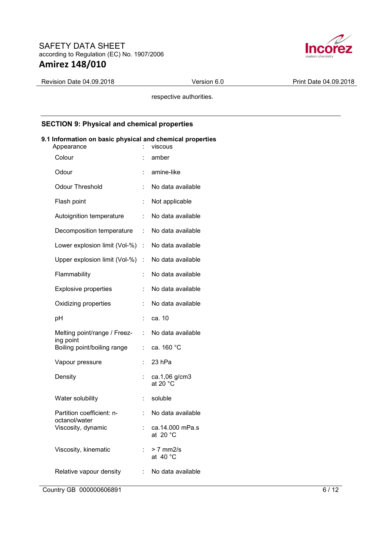

Revision Date 04.09.2018 **Version 6.0** Print Date 04.09.2018

respective authorities.

## **SECTION 9: Physical and chemical properties**

# **9.1 Information on basic physical and chemical properties**

| Appearance                                 |    | viscous                               |
|--------------------------------------------|----|---------------------------------------|
| Colour                                     |    | amber                                 |
| Odour                                      |    | amine-like                            |
| <b>Odour Threshold</b>                     | t  | No data available                     |
| Flash point                                |    | Not applicable                        |
| Autoignition temperature                   | t  | No data available                     |
| Decomposition temperature                  | t  | No data available                     |
| Lower explosion limit (Vol-%)              | ÷  | No data available                     |
| Upper explosion limit (Vol-%)              | Ì. | No data available                     |
| Flammability                               | t  | No data available                     |
| <b>Explosive properties</b>                | t  | No data available                     |
| Oxidizing properties                       |    | No data available                     |
| рH                                         | t  | ca. 10                                |
| Melting point/range / Freez-<br>ing point  | t  | No data available                     |
| Boiling point/boiling range                | t  | ca. 160 °C                            |
| Vapour pressure                            | t. | 23 hPa                                |
| Density                                    |    | ca.1,06 g/cm3<br>at 20 $^{\circ}$ C   |
| Water solubility                           | t  | soluble                               |
| Partition coefficient: n-<br>octanol/water |    | No data available                     |
| Viscosity, dynamic                         | t  | ca.14.000 mPa.s<br>at 20 $^{\circ}$ C |
| Viscosity, kinematic                       |    | > 7 mm2/s<br>at 40 $^{\circ}$ C       |
| Relative vapour density                    | t  | No data available                     |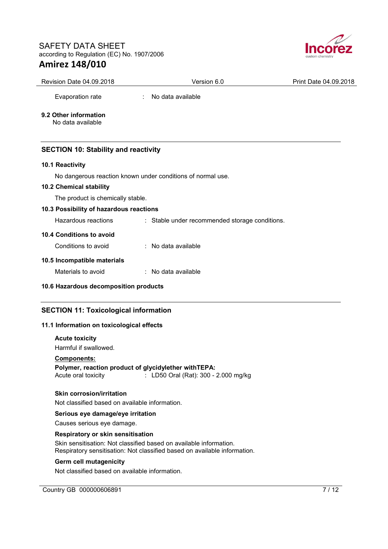

| <b>Revision Date 04.09.2018</b>            | Version 6.0       | Print Date 04.09.2018 |
|--------------------------------------------|-------------------|-----------------------|
| Evaporation rate                           | No data available |                       |
| 9.2 Other information<br>No data available |                   |                       |

# **SECTION 10: Stability and reactivity**

# **10.1 Reactivity**

No dangerous reaction known under conditions of normal use.

# **10.2 Chemical stability**

The product is chemically stable.

# **10.3 Possibility of hazardous reactions**

Hazardous reactions : Stable under recommended storage conditions.

# **10.4 Conditions to avoid**

Conditions to avoid : No data available

### **10.5 Incompatible materials**

Materials to avoid : No data available

## **10.6 Hazardous decomposition products**

# **SECTION 11: Toxicological information**

## **11.1 Information on toxicological effects**

#### **Acute toxicity**

Harmful if swallowed.

#### **Components:**

**Polymer, reaction product of glycidylether withTEPA:** 

Acute oral toxicity : LD50 Oral (Rat): 300 - 2.000 mg/kg

#### **Skin corrosion/irritation**

Not classified based on available information.

### **Serious eye damage/eye irritation**

Causes serious eye damage.

#### **Respiratory or skin sensitisation**

Skin sensitisation: Not classified based on available information. Respiratory sensitisation: Not classified based on available information.

### **Germ cell mutagenicity**

Not classified based on available information.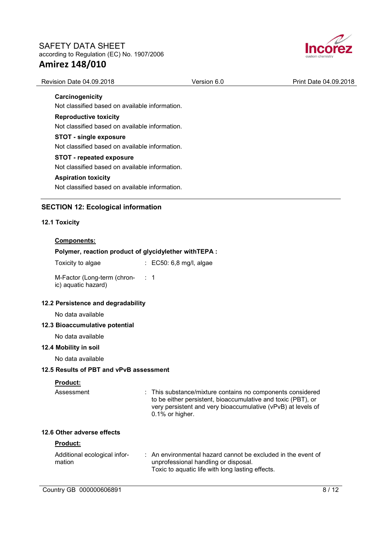

| Revision Date 04.09.2018                               | Version 6.0                                                                                                                                                                                                   | Print Date 04.09.2018 |
|--------------------------------------------------------|---------------------------------------------------------------------------------------------------------------------------------------------------------------------------------------------------------------|-----------------------|
| Carcinogenicity                                        |                                                                                                                                                                                                               |                       |
| Not classified based on available information.         |                                                                                                                                                                                                               |                       |
| <b>Reproductive toxicity</b>                           |                                                                                                                                                                                                               |                       |
| Not classified based on available information.         |                                                                                                                                                                                                               |                       |
| <b>STOT - single exposure</b>                          |                                                                                                                                                                                                               |                       |
| Not classified based on available information.         |                                                                                                                                                                                                               |                       |
| STOT - repeated exposure                               |                                                                                                                                                                                                               |                       |
| Not classified based on available information.         |                                                                                                                                                                                                               |                       |
| <b>Aspiration toxicity</b>                             |                                                                                                                                                                                                               |                       |
| Not classified based on available information.         |                                                                                                                                                                                                               |                       |
| <b>SECTION 12: Ecological information</b>              |                                                                                                                                                                                                               |                       |
| 12.1 Toxicity                                          |                                                                                                                                                                                                               |                       |
| Components:                                            |                                                                                                                                                                                                               |                       |
| Polymer, reaction product of glycidylether with TEPA : |                                                                                                                                                                                                               |                       |
| Toxicity to algae                                      | : EC50: 6,8 mg/l, algae                                                                                                                                                                                       |                       |
| M-Factor (Long-term (chron- : 1<br>ic) aquatic hazard) |                                                                                                                                                                                                               |                       |
| 12.2 Persistence and degradability                     |                                                                                                                                                                                                               |                       |
| No data available                                      |                                                                                                                                                                                                               |                       |
| 12.3 Bioaccumulative potential                         |                                                                                                                                                                                                               |                       |
| No data available                                      |                                                                                                                                                                                                               |                       |
| 12.4 Mobility in soil                                  |                                                                                                                                                                                                               |                       |
| No data available                                      |                                                                                                                                                                                                               |                       |
| 12.5 Results of PBT and vPvB assessment                |                                                                                                                                                                                                               |                       |
| Product:                                               |                                                                                                                                                                                                               |                       |
| Assessment                                             | : This substance/mixture contains no components considered<br>to be either persistent, bioaccumulative and toxic (PBT), or<br>very persistent and very bioaccumulative (vPvB) at levels of<br>0.1% or higher. |                       |
| 12.6 Other adverse effects                             |                                                                                                                                                                                                               |                       |
| Product:                                               |                                                                                                                                                                                                               |                       |
| Additional ecological infor-<br>mation                 | : An environmental hazard cannot be excluded in the event of<br>unprofessional handling or disposal.<br>Toxic to aquatic life with long lasting effects.                                                      |                       |
| Country GB 000000606891                                |                                                                                                                                                                                                               | 8/12                  |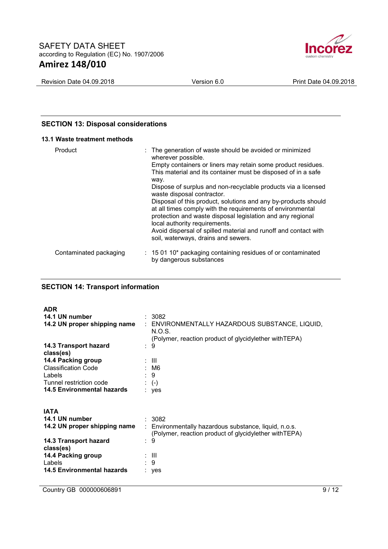

Revision Date 04.09.2018 **Version 6.0** Print Date 04.09.2018

## **SECTION 13: Disposal considerations**

#### **13.1 Waste treatment methods**

| Product                | : The generation of waste should be avoided or minimized<br>wherever possible.<br>Empty containers or liners may retain some product residues.<br>This material and its container must be disposed of in a safe<br>way.<br>Dispose of surplus and non-recyclable products via a licensed<br>waste disposal contractor.<br>Disposal of this product, solutions and any by-products should<br>at all times comply with the requirements of environmental<br>protection and waste disposal legislation and any regional<br>local authority requirements.<br>Avoid dispersal of spilled material and runoff and contact with |
|------------------------|--------------------------------------------------------------------------------------------------------------------------------------------------------------------------------------------------------------------------------------------------------------------------------------------------------------------------------------------------------------------------------------------------------------------------------------------------------------------------------------------------------------------------------------------------------------------------------------------------------------------------|
|                        | soil, waterways, drains and sewers.                                                                                                                                                                                                                                                                                                                                                                                                                                                                                                                                                                                      |
| Contaminated packaging | $\therefore$ 15 01 10* packaging containing residues of or contaminated<br>by dangerous substances                                                                                                                                                                                                                                                                                                                                                                                                                                                                                                                       |

## **SECTION 14: Transport information**

| <b>ADR</b>                           |                                                                                                                                                 |
|--------------------------------------|-------------------------------------------------------------------------------------------------------------------------------------------------|
| 14.1 UN number                       | : 3082                                                                                                                                          |
|                                      | 14.2 UN proper shipping name : ENVIRONMENTALLY HAZARDOUS SUBSTANCE, LIQUID,<br>N.O.S.<br>(Polymer, reaction product of glycidylether with TEPA) |
| 14.3 Transport hazard<br>class(es)   | : 9                                                                                                                                             |
| 14.4 Packing group                   | $\sim$ : 111                                                                                                                                    |
| <b>Classification Code</b><br>Labels | : M6<br>$\therefore$ 9                                                                                                                          |
| Tunnel restriction code              | $\div$ (-)                                                                                                                                      |
| <b>14.5 Environmental hazards</b>    | $:$ yes                                                                                                                                         |
| <b>IATA</b>                          |                                                                                                                                                 |
| 14.1 UN number                       | : 3082                                                                                                                                          |
| 14.2 UN proper shipping name         | : Environmentally hazardous substance, liquid, n.o.s.<br>(Polymer, reaction product of glycidylether with TEPA)                                 |
| 14.3 Transport hazard<br>class(es)   | 9<br>÷                                                                                                                                          |
| 14.4 Packing group                   | ÷ III                                                                                                                                           |
| Labels                               | : 9                                                                                                                                             |
| <b>14.5 Environmental hazards</b>    | $:$ yes                                                                                                                                         |

Country GB 000000606891 9/12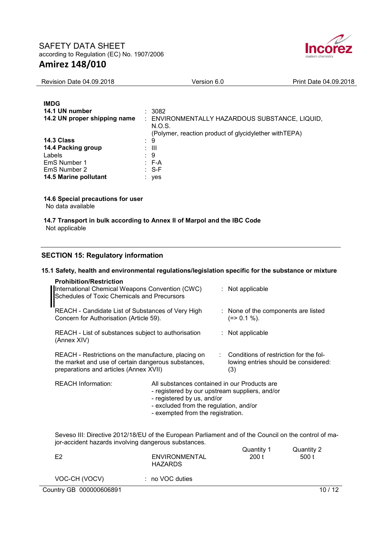

| <b>Revision Date 04.09.2018</b> | Version 6.0 | Print Date 04.09.2018 |
|---------------------------------|-------------|-----------------------|
|                                 |             |                       |
|                                 |             |                       |

| <b>IMDG</b>                  |    |                                                        |
|------------------------------|----|--------------------------------------------------------|
| 14.1 UN number               |    | : 3082                                                 |
| 14.2 UN proper shipping name |    | ENVIRONMENTALLY HAZARDOUS SUBSTANCE, LIQUID,<br>N.O.S. |
|                              |    | (Polymer, reaction product of glycidylether with TEPA) |
| 14.3 Class                   |    | : 9                                                    |
| 14.4 Packing group           |    | : III                                                  |
| Labels                       | ÷. | -9                                                     |
| EmS Number 1                 |    | $E - A$                                                |
| EmS Number 2                 |    | : S-F                                                  |
| 14.5 Marine pollutant        |    | yes                                                    |

### **14.6 Special precautions for user**

No data available

#### **14.7 Transport in bulk according to Annex II of Marpol and the IBC Code** Not applicable

## **SECTION 15: Regulatory information**

### **15.1 Safety, health and environmental regulations/legislation specific for the substance or mixture**

| <b>Prohibition/Restriction</b><br>International Chemical Weapons Convention (CWC)<br>Schedules of Toxic Chemicals and Precursors                     |                                                                                                                           | : Not applicable                                                                        |
|------------------------------------------------------------------------------------------------------------------------------------------------------|---------------------------------------------------------------------------------------------------------------------------|-----------------------------------------------------------------------------------------|
| REACH - Candidate List of Substances of Very High<br>Concern for Authorisation (Article 59).                                                         |                                                                                                                           | : None of the components are listed<br>$(=>0.1\%).$                                     |
| REACH - List of substances subject to authorisation<br>(Annex XIV)                                                                                   |                                                                                                                           | $:$ Not applicable                                                                      |
| REACH - Restrictions on the manufacture, placing on<br>the market and use of certain dangerous substances,<br>preparations and articles (Annex XVII) |                                                                                                                           | : Conditions of restriction for the fol-<br>lowing entries should be considered:<br>(3) |
| <b>REACH Information:</b>                                                                                                                            | All substances contained in our Products are<br>- registered by our upstream suppliers, and/or<br>registered by us and/or |                                                                                         |

- registered by us, and/or
- excluded from the regulation, and/or
- exempted from the registration.

Seveso III: Directive 2012/18/EU of the European Parliament and of the Council on the control of major-accident hazards involving dangerous substances.  $Quantit<sub>U</sub> 1$  Quantity 2

| E2                      | ENVIRONMENTAL<br>HAZARDS | Quantity 1<br>200 t | Quantity 2<br>500 t |  |
|-------------------------|--------------------------|---------------------|---------------------|--|
| VOC-CH (VOCV)           | : no VOC duties          |                     |                     |  |
| Country GB 000000606891 |                          |                     | 10/12               |  |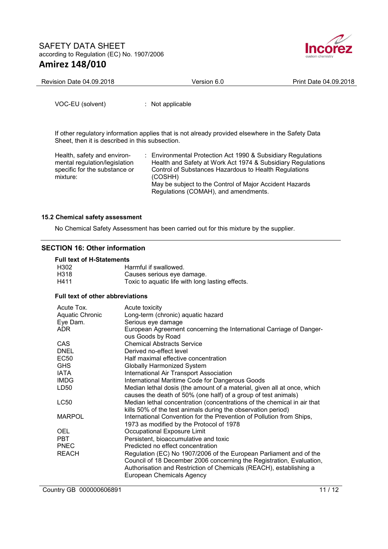

| Revision Date 04.09.2018 | Version 6.0 | Print Date 04.09.2018 |
|--------------------------|-------------|-----------------------|
|                          |             |                       |

VOC-EU (solvent) : Not applicable

If other regulatory information applies that is not already provided elsewhere in the Safety Data Sheet, then it is described in this subsection.

Health, safety and environmental regulation/legislation specific for the substance or mixture:

: Environmental Protection Act 1990 & Subsidiary Regulations Health and Safety at Work Act 1974 & Subsidiary Regulations Control of Substances Hazardous to Health Regulations (COSHH) May be subject to the Control of Major Accident Hazards Regulations (COMAH), and amendments.

### **15.2 Chemical safety assessment**

No Chemical Safety Assessment has been carried out for this mixture by the supplier.

## **SECTION 16: Other information**

### **Full text of H-Statements**

| Harmful if swallowed.                            |
|--------------------------------------------------|
| Causes serious eve damage.                       |
| Toxic to aquatic life with long lasting effects. |
|                                                  |

#### **Full text of other abbreviations**

| Acute Tox.             | Acute toxicity                                                                                                                                                                                                                                |  |  |  |
|------------------------|-----------------------------------------------------------------------------------------------------------------------------------------------------------------------------------------------------------------------------------------------|--|--|--|
| <b>Aquatic Chronic</b> | Long-term (chronic) aquatic hazard                                                                                                                                                                                                            |  |  |  |
| Eye Dam.               | Serious eye damage                                                                                                                                                                                                                            |  |  |  |
| ADR.                   | European Agreement concerning the International Carriage of Danger-<br>ous Goods by Road                                                                                                                                                      |  |  |  |
| CAS                    | <b>Chemical Abstracts Service</b>                                                                                                                                                                                                             |  |  |  |
| <b>DNEL</b>            | Derived no-effect level                                                                                                                                                                                                                       |  |  |  |
| <b>EC50</b>            | Half maximal effective concentration                                                                                                                                                                                                          |  |  |  |
| <b>GHS</b>             | <b>Globally Harmonized System</b>                                                                                                                                                                                                             |  |  |  |
| IATA                   | <b>International Air Transport Association</b>                                                                                                                                                                                                |  |  |  |
| IMDG                   | International Maritime Code for Dangerous Goods                                                                                                                                                                                               |  |  |  |
| LD50                   | Median lethal dosis (the amount of a material, given all at once, which<br>causes the death of 50% (one half) of a group of test animals)                                                                                                     |  |  |  |
| LC50                   | Median lethal concentration (concentrations of the chemical in air that<br>kills 50% of the test animals during the observation period)                                                                                                       |  |  |  |
| <b>MARPOL</b>          | International Convention for the Prevention of Pollution from Ships,<br>1973 as modified by the Protocol of 1978                                                                                                                              |  |  |  |
| OEL                    | Occupational Exposure Limit                                                                                                                                                                                                                   |  |  |  |
| PBT                    | Persistent, bioaccumulative and toxic                                                                                                                                                                                                         |  |  |  |
| <b>PNEC</b>            | Predicted no effect concentration                                                                                                                                                                                                             |  |  |  |
| <b>REACH</b>           | Regulation (EC) No 1907/2006 of the European Parliament and of the<br>Council of 18 December 2006 concerning the Registration, Evaluation,<br>Authorisation and Restriction of Chemicals (REACH), establishing a<br>European Chemicals Agency |  |  |  |